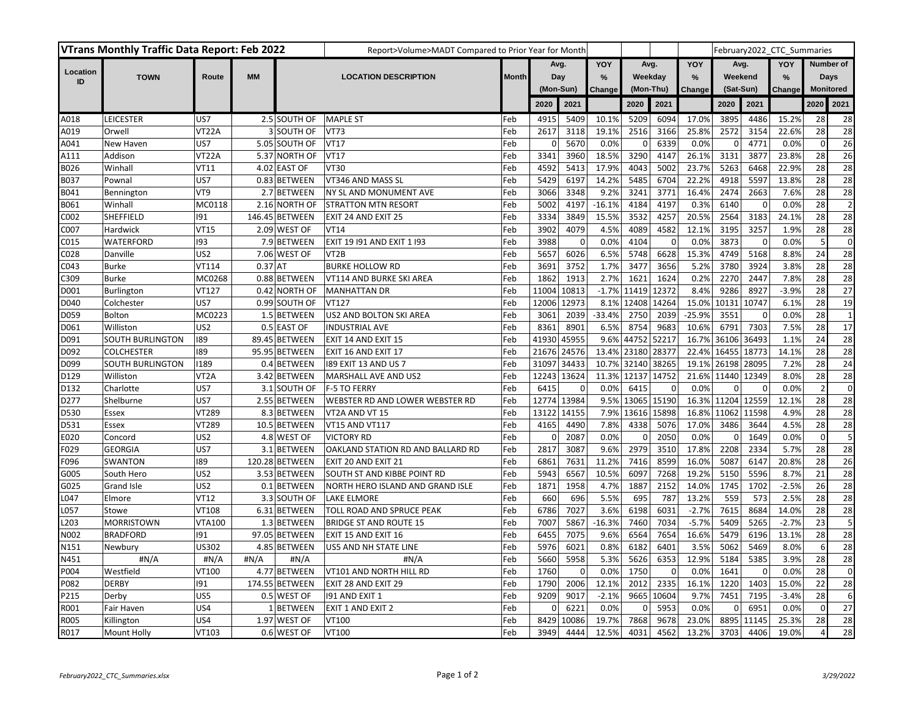| <b>VTrans Monthly Traffic Data Report: Feb 2022</b> |                         |                   |           |                | Report>Volume>MADT Compared to Prior Year for Month |              |             |                |               |                  |             |               |           |             | February2022 CTC Summaries |                  |                         |
|-----------------------------------------------------|-------------------------|-------------------|-----------|----------------|-----------------------------------------------------|--------------|-------------|----------------|---------------|------------------|-------------|---------------|-----------|-------------|----------------------------|------------------|-------------------------|
|                                                     |                         |                   |           |                |                                                     |              | Avg.<br>Day |                | YOY           | Avg.             |             | YOY           | Avg.      |             | YOY                        | Number of        |                         |
| Location<br>ID                                      | <b>TOWN</b>             | Route             | <b>MM</b> |                | <b>LOCATION DESCRIPTION</b>                         | <b>Month</b> |             |                | $\frac{9}{6}$ | Weekday          |             | $\frac{9}{6}$ |           | Weekend     | %                          | Days             |                         |
|                                                     |                         |                   |           |                |                                                     |              |             | (Mon-Sun)      |               | (Mon-Thu)        |             | Change        | (Sat-Sun) |             | Change                     | <b>Monitored</b> |                         |
|                                                     |                         |                   |           |                |                                                     |              | 2020        | 2021           |               | 2020             | 2021        |               | 2020      | 2021        |                            | 2020             | 2021                    |
| A018                                                | LEICESTER               | US7               |           | 2.5 SOUTH OF   | <b>MAPLE ST</b>                                     | Feb          | 4915        | 5409           | 10.1%         | 5209             | 6094        | 17.0%         | 3895      | 4486        | 15.2%                      | 28               | 28                      |
| A019                                                | Orwell                  | VT22A             |           | 3 SOUTH OF     | <b>VT73</b>                                         | Feb          | 2617        | 3118           | 19.1%         | 2516             | 3166        | 25.8%         | 2572      | 3154        | 22.6%                      | 28               | 28                      |
| A041                                                | New Haven               | US7               |           | 5.05 SOUTH OF  | <b>VT17</b>                                         | Feb          | 0           | 5670           | 0.0%          | 0                | 6339        | 0.0%          | 0         | 4771        | 0.0%                       | $\mathbf{0}$     | 26                      |
| A111                                                | Addison                 | VT22A             |           | 5.37 NORTH OF  | <b>VT17</b>                                         | Feb          | 3341        | 3960           | 18.5%         | 3290             | 4147        | 26.1%         | 3131      | 3877        | 23.8%                      | 28               | 26                      |
| B026                                                | Winhall                 | <b>VT11</b>       |           | 4.02 EAST OF   | VT30                                                | Feb          | 4592        | 5413           | 17.9%         | 4043             | 5002        | 23.7%         | 5263      | 6468        | 22.9%                      | 28               | 28                      |
| B037                                                | Pownal                  | US7               |           | 0.83 BETWEEN   | VT346 AND MASS SL                                   | Feb          | 5429        | 6197           | 14.2%         | 5485             | 6704        | 22.2%         | 4918      | 5597        | 13.8%                      | 28               | 28                      |
| B041                                                | Bennington              | VT <sub>9</sub>   |           | 2.7 BETWEEN    | NY SL AND MONUMENT AVE                              | Feb          | 3066        | 3348           | 9.2%          | 3241             | 3771        | 16.4%         | 2474      | 2663        | 7.6%                       | 28               | 28                      |
| B061                                                | Winhal                  | MC0118            |           | 2.16 NORTH OF  | <b>STRATTON MTN RESORT</b>                          | Feb          | 5002        | 4197           | $-16.1%$      | 4184             | 4197        | 0.3%          | 6140      | $\mathbf 0$ | 0.0%                       | 28               | $\overline{2}$          |
| C002                                                | SHEFFIELD               | 191               |           | 146.45 BETWEEN | EXIT 24 AND EXIT 25                                 | Feb          | 3334        | 3849           | 15.5%         | 3532             | 4257        | 20.5%         | 2564      | 3183        | 24.1%                      | 28               | 28                      |
| C007                                                | Hardwick                | <b>VT15</b>       |           | 2.09 WEST OF   | <b>VT14</b>                                         | Feb          | 3902        | 4079           | 4.5%          | 4089             | 4582        | 12.1%         | 3195      | 3257        | 1.9%                       | 28               | 28                      |
| C015                                                | WATERFORD               | 193               |           | 7.9 BETWEEN    | EXIT 19 191 AND EXIT 1 193                          | Feb          | 3988        | $\overline{0}$ | 0.0%          | 4104             | $\mathbf 0$ | 0.0%          | 3873      | $\mathbf 0$ | 0.0%                       | 5                | $\mathbf 0$             |
| C028                                                | Danville                | US <sub>2</sub>   |           | 7.06 WEST OF   | VT <sub>2</sub> B                                   | Feb          | 5657        | 6026           | 6.5%          | 5748             | 6628        | 15.3%         | 4749      | 5168        | 8.8%                       | 24               | 28                      |
| C043                                                | Burke                   | VT114             | $0.37$ AT |                | <b>BURKE HOLLOW RD</b>                              | Feb          | 3691        | 3752           | 1.7%          | 3477             | 3656        | 5.2%          | 3780      | 3924        | 3.8%                       | 28               | 28                      |
| C309                                                | <b>Burke</b>            | MC0268            |           | 0.88 BETWEEN   | VT114 AND BURKE SKI AREA                            | Feb          | 1862        | 1913           | 2.7%          | 1621             | 1624        | 0.2%          | 2270      | 2447        | 7.8%                       | 28               | 28                      |
| D001                                                | Burlington              | VT127             |           | 0.42 NORTH OF  | <b>MANHATTAN DR</b>                                 | Feb          | 11004       | 10813          |               | $-1.7\%$ 11419   | 12372       | 8.4%          | 9286      | 8927        | $-3.9%$                    | 28               | 27                      |
| D040                                                | Colchester              | US7               |           | 0.99 SOUTH OF  | VT127                                               | Feb          | 12006       | 12973          | 8.1%          | 12408            | 14264       | 15.0%         | 10131     | 10747       | 6.1%                       | 28               | 19                      |
| D059                                                | <b>Bolton</b>           | MC0223            |           | 1.5 BETWEEN    | US2 AND BOLTON SKI AREA                             | Feb          | 3061        | 2039           | $-33.4%$      | 2750             | 2039        | $-25.9%$      | 3551      | 0           | 0.0%                       | 28               | $\mathbf{1}$            |
| D061                                                | Williston               | US <sub>2</sub>   |           | 0.5 EAST OF    | <b>INDUSTRIAL AVE</b>                               | Feb          | 8361        | 8901           | 6.5%          | 8754             | 9683        | 10.6%         | 6791      | 7303        | 7.5%                       | 28               | 17                      |
| D091                                                | <b>SOUTH BURLINGTON</b> | 189               |           | 89.45 BETWEEN  | EXIT 14 AND EXIT 15                                 | Feb          | 41930       | 45955          | 9.6%          | 44752            | 52217       | 16.7%         | 36106     | 36493       | 1.1%                       | 24               | 28                      |
| D092                                                | <b>COLCHESTER</b>       | 189               |           | 95.95 BETWEEN  | EXIT 16 AND EXIT 17                                 | Feb          | 21676       | 24576          | 13.4% 23180   |                  | 28377       | 22.4%         | 16455     | 18773       | 14.1%                      | 28               | 28                      |
| D099                                                | SOUTH BURLINGTON        | 1189              |           | 0.4 BETWEEN    | 189 EXIT 13 AND US 7                                | Feb          | 31097       | 34433          | 10.7% 32140   |                  | 38265       | 19.1%         | 26198     | 28095       | 7.2%                       | 28               | 24                      |
| D129                                                | Williston               | VT <sub>2</sub> A |           | 3.42 BETWEEN   | MARSHALL AVE AND US2                                | Feb          | 12243       | 13624          | 11.3% 12137   |                  | 14752       | 21.6%         | 11440     | 12349       | 8.0%                       | 28               | 28                      |
| D132                                                | Charlotte               | US7               |           | 3.1 SOUTH OF   | <b>F-5 TO FERRY</b>                                 | Feb          | 6415        | $\mathbf 0$    | 0.0%          | 6415             | C           | 0.0%          | $\Omega$  | $\Omega$    | 0.0%                       | $\overline{2}$   | $\mathbf 0$             |
| D277                                                | Shelburne               | US7               |           | 2.55 BETWEEN   | WEBSTER RD AND LOWER WEBSTER RD                     | Feb          | 12774       | 13984          |               | 9.5% 13065 15190 |             | 16.3%         | 11204     | 12559       | 12.1%                      | 28               | 28                      |
| D530                                                | Essex                   | VT289             |           | 8.3 BETWEEN    | VT2A AND VT 15                                      | Feb          | 13122       | 14155          | 7.9%          | 13616            | 15898       | 16.8%         | 11062     | 11598       | 4.9%                       | 28               | 28                      |
| D531                                                | Essex                   | VT289             |           | 10.5 BETWEEN   | VT15 AND VT117                                      | Feb          | 4165        | 4490           | 7.8%          | 4338             | 5076        | 17.0%         | 3486      | 3644        | 4.5%                       | 28               | 28                      |
| E020                                                | Concord                 | US <sub>2</sub>   |           | 4.8 WEST OF    | <b>VICTORY RD</b>                                   | Feb          | 0           | 2087           | 0.0%          | 0                | 2050        | 0.0%          | 0         | 1649        | 0.0%                       | $\mathbf 0$      | $\overline{5}$          |
| F029                                                | <b>GEORGIA</b>          | US7               |           | 3.1 BETWEEN    | OAKLAND STATION RD AND BALLARD RD                   | Feb          | 2817        | 3087           | 9.6%          | 2979             | 3510        | 17.8%         | 2208      | 2334        | 5.7%                       | 28               | 28                      |
| F096                                                | SWANTON                 | 189               |           | 120.28 BETWEEN | EXIT 20 AND EXIT 21                                 | Feb          | 6861        | 7631           | 11.2%         | 7416             | 8599        | 16.0%         | 5087      | 6147        | 20.8%                      | 28               | 26                      |
| G005                                                | South Hero              | US <sub>2</sub>   |           | 3.53 BETWEEN   | SOUTH ST AND KIBBE POINT RD                         | Feb          | 5943        | 6567           | 10.5%         | 6097             | 7268        | 19.2%         | 5150      | 5596        | 8.7%                       | 21               | 28                      |
| G025                                                | Grand Isle              | US <sub>2</sub>   |           | 0.1 BETWEEN    | NORTH HERO ISLAND AND GRAND ISLE                    | Feb          | 1871        | 1958           | 4.7%          | 1887             | 2152        | 14.0%         | 1745      | 1702        | $-2.5%$                    | 26               | 28                      |
| L047                                                | Elmore                  | <b>VT12</b>       |           | 3.3 SOUTH OF   | <b>LAKE ELMORE</b>                                  | Feb          | 660         | 696            | 5.5%          | 695              | 787         | 13.2%         | 559       | 573         | 2.5%                       | 28               | 28                      |
| L057                                                | Stowe                   | VT108             |           | 6.31 BETWEEN   | TOLL ROAD AND SPRUCE PEAK                           | Feb          | 6786        | 7027           | 3.6%          | 6198             | 6031        | $-2.7%$       | 7615      | 8684        | 14.0%                      | 28               | 28                      |
| L203                                                | <b>MORRISTOWN</b>       | <b>VTA100</b>     |           | 1.3 BETWEEN    | <b>BRIDGE ST AND ROUTE 15</b>                       | Feb          | 7007        | 5867           | $-16.3%$      | 7460             | 7034        | $-5.7%$       | 5409      | 5265        | $-2.7%$                    | 23               | $\overline{\mathbf{5}}$ |
| N002                                                | <b>BRADFORD</b>         | 191               |           | 97.05 BETWEEN  | EXIT 15 AND EXIT 16                                 | Feb          | 6455        | 7075           | 9.6%          | 6564             | 7654        | 16.6%         | 5479      | 6196        | 13.1%                      | 28               | 28                      |
| N151                                                | Newbury                 | US302             |           | 4.85 BETWEEN   | US5 AND NH STATE LINE                               | Feb          | 5976        | 6021           | 0.8%          | 6182             | 6401        | 3.5%          | 5062      | 5469        | 8.0%                       | 6                | 28                      |
| N451                                                | #N/A                    | H N/A             | #N/A      | #N/A           | #N/A                                                | Feb          | 5660        | 5958           | 5.3%          | 5626             | 6353        | 12.9%         | 5184      | 5385        | 3.9%                       | 28               | 28                      |
| P004                                                | Westfield               | VT100             |           | 4.77 BETWEEN   | VT101 AND NORTH HILL RD                             | Feb          | 1760        | $\mathbf 0$    | 0.0%          | 1750             | -C          | 0.0%          | 1641      | 0           | 0.0%                       | 28               | $\mathbf 0$             |
| P082                                                | <b>DERBY</b>            | 191               |           | 174.55 BETWEEN | EXIT 28 AND EXIT 29                                 | Feb          | 1790        | 2006           | 12.1%         | 2012             | 2335        | 16.1%         | 1220      | 1403        | 15.0%                      | 22               | 28                      |
| P215                                                | Derby                   | US5               |           | 0.5 WEST OF    | 191 AND EXIT 1                                      | Feb          | 9209        | 9017           | $-2.1%$       | 9665             | 10604       | 9.7%          | 7451      | 7195        | $-3.4%$                    | 28               | $6 \overline{6}$        |
| R001                                                | Fair Haven              | US4               |           | 1 BETWEEN      | EXIT 1 AND EXIT 2                                   | Feb          | 0           | 6221           | 0.0%          | 0                | 5953        | 0.0%          | 0         | 6951        | 0.0%                       | $\mathbf 0$      | 27                      |
| R005                                                | Killington              | US4               |           | 1.97 WEST OF   | VT100                                               | Feb          | 8429        | 10086          | 19.7%         | 7868             | 9678        | 23.0%         | 8895      | 11145       | 25.3%                      | 28               | 28                      |
| R017                                                | Mount Holly             | VT103             |           | 0.6 WEST OF    | VT100                                               | Feb          | 3949        | 4444           | 12.5%         | 4031             | 4562        | 13.2%         | 3703      | 4406        | 19.0%                      | $\overline{4}$   | 28                      |